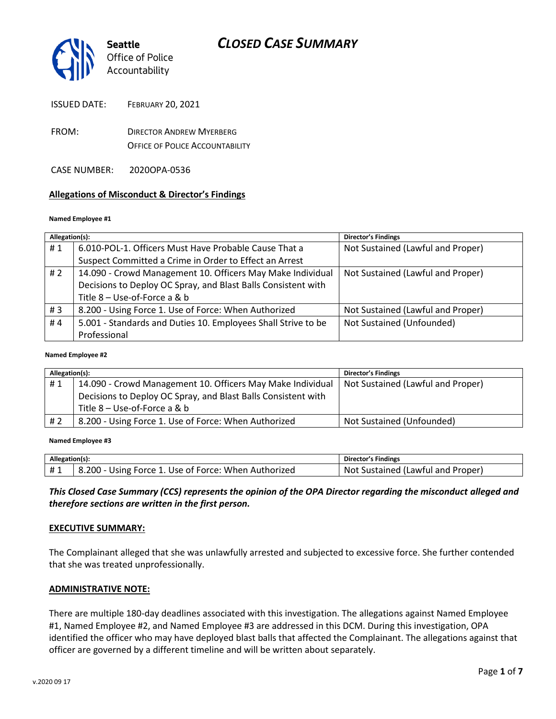

- FROM: DIRECTOR ANDREW MYERBERG OFFICE OF POLICE ACCOUNTABILITY
- CASE NUMBER: 2020OPA-0536

### **Allegations of Misconduct & Director's Findings**

#### **Named Employee #1**

| Allegation(s): |                                                               | <b>Director's Findings</b>        |
|----------------|---------------------------------------------------------------|-----------------------------------|
| #1             | 6.010-POL-1. Officers Must Have Probable Cause That a         | Not Sustained (Lawful and Proper) |
|                | Suspect Committed a Crime in Order to Effect an Arrest        |                                   |
| #2             | 14.090 - Crowd Management 10. Officers May Make Individual    | Not Sustained (Lawful and Proper) |
|                | Decisions to Deploy OC Spray, and Blast Balls Consistent with |                                   |
|                | Title 8 - Use-of-Force a & b                                  |                                   |
| #3             | 8.200 - Using Force 1. Use of Force: When Authorized          | Not Sustained (Lawful and Proper) |
| #4             | 5.001 - Standards and Duties 10. Employees Shall Strive to be | Not Sustained (Unfounded)         |
|                | Professional                                                  |                                   |
|                |                                                               |                                   |

#### **Named Employee #2**

| Allegation(s): |                                                               | <b>Director's Findings</b>        |
|----------------|---------------------------------------------------------------|-----------------------------------|
| #1             | 14.090 - Crowd Management 10. Officers May Make Individual    | Not Sustained (Lawful and Proper) |
|                | Decisions to Deploy OC Spray, and Blast Balls Consistent with |                                   |
|                | Title 8 - Use-of-Force a & b                                  |                                   |
| # 2            | 8.200 - Using Force 1. Use of Force: When Authorized          | Not Sustained (Unfounded)         |

#### **Named Employee #3**

| Allegation(s): |                                                      | <b>Director's Findings</b>        |
|----------------|------------------------------------------------------|-----------------------------------|
| #1             | 8.200 - Using Force 1. Use of Force: When Authorized | Not Sustained (Lawful and Proper) |

*This Closed Case Summary (CCS) represents the opinion of the OPA Director regarding the misconduct alleged and therefore sections are written in the first person.* 

#### **EXECUTIVE SUMMARY:**

The Complainant alleged that she was unlawfully arrested and subjected to excessive force. She further contended that she was treated unprofessionally.

#### **ADMINISTRATIVE NOTE:**

There are multiple 180-day deadlines associated with this investigation. The allegations against Named Employee #1, Named Employee #2, and Named Employee #3 are addressed in this DCM. During this investigation, OPA identified the officer who may have deployed blast balls that affected the Complainant. The allegations against that officer are governed by a different timeline and will be written about separately.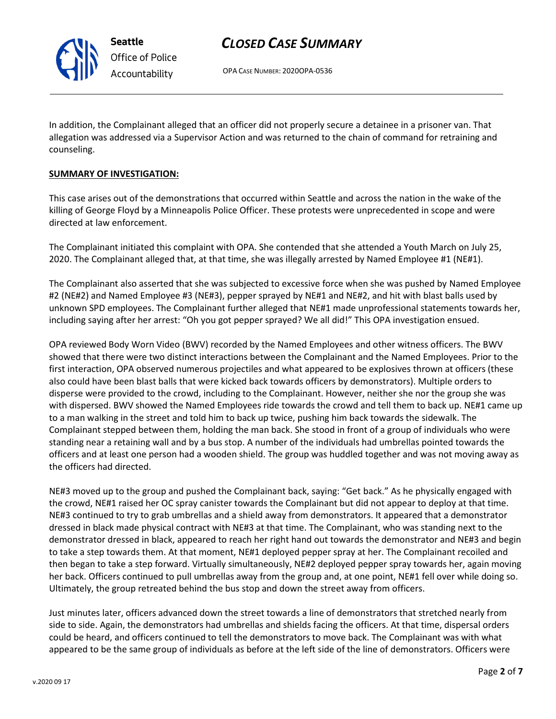OPA CASE NUMBER: 2020OPA-0536

In addition, the Complainant alleged that an officer did not properly secure a detainee in a prisoner van. That allegation was addressed via a Supervisor Action and was returned to the chain of command for retraining and counseling.

### **SUMMARY OF INVESTIGATION:**

**Seattle**

*Office of Police Accountability*

This case arises out of the demonstrations that occurred within Seattle and across the nation in the wake of the killing of George Floyd by a Minneapolis Police Officer. These protests were unprecedented in scope and were directed at law enforcement.

The Complainant initiated this complaint with OPA. She contended that she attended a Youth March on July 25, 2020. The Complainant alleged that, at that time, she was illegally arrested by Named Employee #1 (NE#1).

The Complainant also asserted that she was subjected to excessive force when she was pushed by Named Employee #2 (NE#2) and Named Employee #3 (NE#3), pepper sprayed by NE#1 and NE#2, and hit with blast balls used by unknown SPD employees. The Complainant further alleged that NE#1 made unprofessional statements towards her, including saying after her arrest: "Oh you got pepper sprayed? We all did!" This OPA investigation ensued.

OPA reviewed Body Worn Video (BWV) recorded by the Named Employees and other witness officers. The BWV showed that there were two distinct interactions between the Complainant and the Named Employees. Prior to the first interaction, OPA observed numerous projectiles and what appeared to be explosives thrown at officers (these also could have been blast balls that were kicked back towards officers by demonstrators). Multiple orders to disperse were provided to the crowd, including to the Complainant. However, neither she nor the group she was with dispersed. BWV showed the Named Employees ride towards the crowd and tell them to back up. NE#1 came up to a man walking in the street and told him to back up twice, pushing him back towards the sidewalk. The Complainant stepped between them, holding the man back. She stood in front of a group of individuals who were standing near a retaining wall and by a bus stop. A number of the individuals had umbrellas pointed towards the officers and at least one person had a wooden shield. The group was huddled together and was not moving away as the officers had directed.

NE#3 moved up to the group and pushed the Complainant back, saying: "Get back." As he physically engaged with the crowd, NE#1 raised her OC spray canister towards the Complainant but did not appear to deploy at that time. NE#3 continued to try to grab umbrellas and a shield away from demonstrators. It appeared that a demonstrator dressed in black made physical contract with NE#3 at that time. The Complainant, who was standing next to the demonstrator dressed in black, appeared to reach her right hand out towards the demonstrator and NE#3 and begin to take a step towards them. At that moment, NE#1 deployed pepper spray at her. The Complainant recoiled and then began to take a step forward. Virtually simultaneously, NE#2 deployed pepper spray towards her, again moving her back. Officers continued to pull umbrellas away from the group and, at one point, NE#1 fell over while doing so. Ultimately, the group retreated behind the bus stop and down the street away from officers.

Just minutes later, officers advanced down the street towards a line of demonstrators that stretched nearly from side to side. Again, the demonstrators had umbrellas and shields facing the officers. At that time, dispersal orders could be heard, and officers continued to tell the demonstrators to move back. The Complainant was with what appeared to be the same group of individuals as before at the left side of the line of demonstrators. Officers were

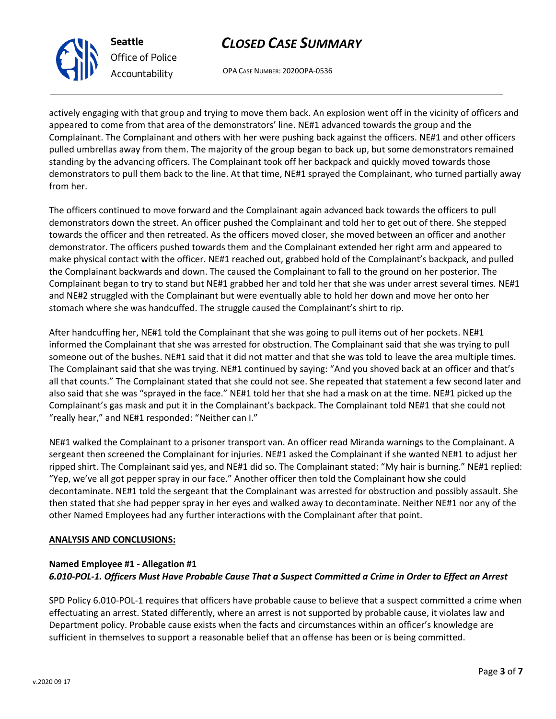OPA CASE NUMBER: 2020OPA-0536

actively engaging with that group and trying to move them back. An explosion went off in the vicinity of officers and appeared to come from that area of the demonstrators' line. NE#1 advanced towards the group and the Complainant. The Complainant and others with her were pushing back against the officers. NE#1 and other officers pulled umbrellas away from them. The majority of the group began to back up, but some demonstrators remained standing by the advancing officers. The Complainant took off her backpack and quickly moved towards those demonstrators to pull them back to the line. At that time, NE#1 sprayed the Complainant, who turned partially away from her.

The officers continued to move forward and the Complainant again advanced back towards the officers to pull demonstrators down the street. An officer pushed the Complainant and told her to get out of there. She stepped towards the officer and then retreated. As the officers moved closer, she moved between an officer and another demonstrator. The officers pushed towards them and the Complainant extended her right arm and appeared to make physical contact with the officer. NE#1 reached out, grabbed hold of the Complainant's backpack, and pulled the Complainant backwards and down. The caused the Complainant to fall to the ground on her posterior. The Complainant began to try to stand but NE#1 grabbed her and told her that she was under arrest several times. NE#1 and NE#2 struggled with the Complainant but were eventually able to hold her down and move her onto her stomach where she was handcuffed. The struggle caused the Complainant's shirt to rip.

After handcuffing her, NE#1 told the Complainant that she was going to pull items out of her pockets. NE#1 informed the Complainant that she was arrested for obstruction. The Complainant said that she was trying to pull someone out of the bushes. NE#1 said that it did not matter and that she was told to leave the area multiple times. The Complainant said that she was trying. NE#1 continued by saying: "And you shoved back at an officer and that's all that counts." The Complainant stated that she could not see. She repeated that statement a few second later and also said that she was "sprayed in the face." NE#1 told her that she had a mask on at the time. NE#1 picked up the Complainant's gas mask and put it in the Complainant's backpack. The Complainant told NE#1 that she could not "really hear," and NE#1 responded: "Neither can I."

NE#1 walked the Complainant to a prisoner transport van. An officer read Miranda warnings to the Complainant. A sergeant then screened the Complainant for injuries. NE#1 asked the Complainant if she wanted NE#1 to adjust her ripped shirt. The Complainant said yes, and NE#1 did so. The Complainant stated: "My hair is burning." NE#1 replied: "Yep, we've all got pepper spray in our face." Another officer then told the Complainant how she could decontaminate. NE#1 told the sergeant that the Complainant was arrested for obstruction and possibly assault. She then stated that she had pepper spray in her eyes and walked away to decontaminate. Neither NE#1 nor any of the other Named Employees had any further interactions with the Complainant after that point.

### **ANALYSIS AND CONCLUSIONS:**

### **Named Employee #1 - Allegation #1** *6.010-POL-1. Officers Must Have Probable Cause That a Suspect Committed a Crime in Order to Effect an Arrest*

SPD Policy 6.010-POL-1 requires that officers have probable cause to believe that a suspect committed a crime when effectuating an arrest. Stated differently, where an arrest is not supported by probable cause, it violates law and Department policy. Probable cause exists when the facts and circumstances within an officer's knowledge are sufficient in themselves to support a reasonable belief that an offense has been or is being committed.



**Seattle**

*Office of Police Accountability*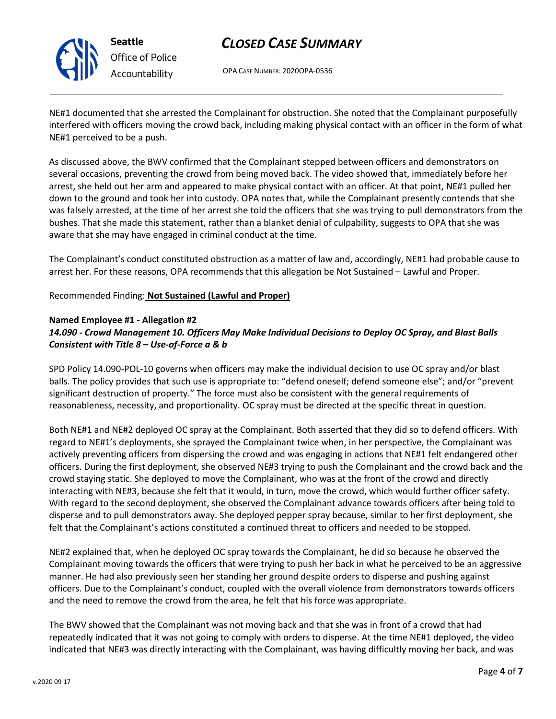

**Seattle** *Office of Police Accountability*

# *CLOSED CASE SUMMARY*

OPA CASE NUMBER: 2020OPA-0536

NE#1 documented that she arrested the Complainant for obstruction. She noted that the Complainant purposefully interfered with officers moving the crowd back, including making physical contact with an officer in the form of what NE#1 perceived to be a push.

As discussed above, the BWV confirmed that the Complainant stepped between officers and demonstrators on several occasions, preventing the crowd from being moved back. The video showed that, immediately before her arrest, she held out her arm and appeared to make physical contact with an officer. At that point, NE#1 pulled her down to the ground and took her into custody. OPA notes that, while the Complainant presently contends that she was falsely arrested, at the time of her arrest she told the officers that she was trying to pull demonstrators from the bushes. That she made this statement, rather than a blanket denial of culpability, suggests to OPA that she was aware that she may have engaged in criminal conduct at the time.

The Complainant's conduct constituted obstruction as a matter of law and, accordingly, NE#1 had probable cause to arrest her. For these reasons, OPA recommends that this allegation be Not Sustained – Lawful and Proper.

Recommended Finding: **Not Sustained (Lawful and Proper)**

### **Named Employee #1 - Allegation #2**

## *14.090 - Crowd Management 10. Officers May Make Individual Decisions to Deploy OC Spray, and Blast Balls Consistent with Title 8 – Use-of-Force a & b*

SPD Policy 14.090-POL-10 governs when officers may make the individual decision to use OC spray and/or blast balls. The policy provides that such use is appropriate to: "defend oneself; defend someone else"; and/or "prevent significant destruction of property." The force must also be consistent with the general requirements of reasonableness, necessity, and proportionality. OC spray must be directed at the specific threat in question.

Both NE#1 and NE#2 deployed OC spray at the Complainant. Both asserted that they did so to defend officers. With regard to NE#1's deployments, she sprayed the Complainant twice when, in her perspective, the Complainant was actively preventing officers from dispersing the crowd and was engaging in actions that NE#1 felt endangered other officers. During the first deployment, she observed NE#3 trying to push the Complainant and the crowd back and the crowd staying static. She deployed to move the Complainant, who was at the front of the crowd and directly interacting with NE#3, because she felt that it would, in turn, move the crowd, which would further officer safety. With regard to the second deployment, she observed the Complainant advance towards officers after being told to disperse and to pull demonstrators away. She deployed pepper spray because, similar to her first deployment, she felt that the Complainant's actions constituted a continued threat to officers and needed to be stopped.

NE#2 explained that, when he deployed OC spray towards the Complainant, he did so because he observed the Complainant moving towards the officers that were trying to push her back in what he perceived to be an aggressive manner. He had also previously seen her standing her ground despite orders to disperse and pushing against officers. Due to the Complainant's conduct, coupled with the overall violence from demonstrators towards officers and the need to remove the crowd from the area, he felt that his force was appropriate.

The BWV showed that the Complainant was not moving back and that she was in front of a crowd that had repeatedly indicated that it was not going to comply with orders to disperse. At the time NE#1 deployed, the video indicated that NE#3 was directly interacting with the Complainant, was having difficultly moving her back, and was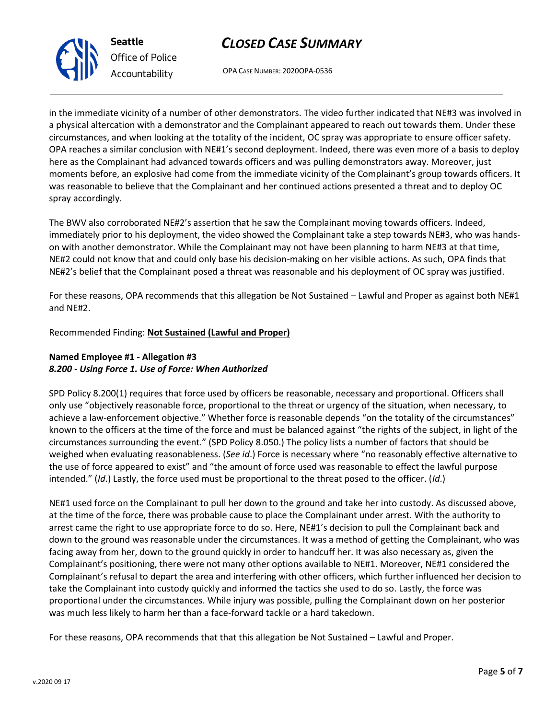OPA CASE NUMBER: 2020OPA-0536

in the immediate vicinity of a number of other demonstrators. The video further indicated that NE#3 was involved in a physical altercation with a demonstrator and the Complainant appeared to reach out towards them. Under these circumstances, and when looking at the totality of the incident, OC spray was appropriate to ensure officer safety. OPA reaches a similar conclusion with NE#1's second deployment. Indeed, there was even more of a basis to deploy here as the Complainant had advanced towards officers and was pulling demonstrators away. Moreover, just moments before, an explosive had come from the immediate vicinity of the Complainant's group towards officers. It was reasonable to believe that the Complainant and her continued actions presented a threat and to deploy OC spray accordingly.

The BWV also corroborated NE#2's assertion that he saw the Complainant moving towards officers. Indeed, immediately prior to his deployment, the video showed the Complainant take a step towards NE#3, who was handson with another demonstrator. While the Complainant may not have been planning to harm NE#3 at that time, NE#2 could not know that and could only base his decision-making on her visible actions. As such, OPA finds that NE#2's belief that the Complainant posed a threat was reasonable and his deployment of OC spray was justified.

For these reasons, OPA recommends that this allegation be Not Sustained – Lawful and Proper as against both NE#1 and NE#2.

Recommended Finding: **Not Sustained (Lawful and Proper)**

## **Named Employee #1 - Allegation #3** *8.200 - Using Force 1. Use of Force: When Authorized*

SPD Policy 8.200(1) requires that force used by officers be reasonable, necessary and proportional. Officers shall only use "objectively reasonable force, proportional to the threat or urgency of the situation, when necessary, to achieve a law-enforcement objective." Whether force is reasonable depends "on the totality of the circumstances" known to the officers at the time of the force and must be balanced against "the rights of the subject, in light of the circumstances surrounding the event." (SPD Policy 8.050.) The policy lists a number of factors that should be weighed when evaluating reasonableness. (*See id*.) Force is necessary where "no reasonably effective alternative to the use of force appeared to exist" and "the amount of force used was reasonable to effect the lawful purpose intended." (*Id*.) Lastly, the force used must be proportional to the threat posed to the officer. (*Id*.)

NE#1 used force on the Complainant to pull her down to the ground and take her into custody. As discussed above, at the time of the force, there was probable cause to place the Complainant under arrest. With the authority to arrest came the right to use appropriate force to do so. Here, NE#1's decision to pull the Complainant back and down to the ground was reasonable under the circumstances. It was a method of getting the Complainant, who was facing away from her, down to the ground quickly in order to handcuff her. It was also necessary as, given the Complainant's positioning, there were not many other options available to NE#1. Moreover, NE#1 considered the Complainant's refusal to depart the area and interfering with other officers, which further influenced her decision to take the Complainant into custody quickly and informed the tactics she used to do so. Lastly, the force was proportional under the circumstances. While injury was possible, pulling the Complainant down on her posterior was much less likely to harm her than a face-forward tackle or a hard takedown.

For these reasons, OPA recommends that that this allegation be Not Sustained – Lawful and Proper.



**Seattle** *Office of Police Accountability*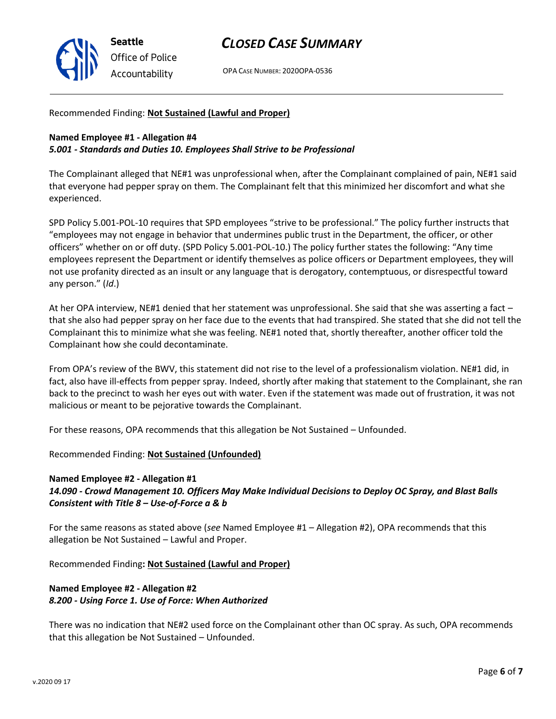

OPA CASE NUMBER: 2020OPA-0536

Recommended Finding: **Not Sustained (Lawful and Proper)**

### **Named Employee #1 - Allegation #4**

### *5.001 - Standards and Duties 10. Employees Shall Strive to be Professional*

The Complainant alleged that NE#1 was unprofessional when, after the Complainant complained of pain, NE#1 said that everyone had pepper spray on them. The Complainant felt that this minimized her discomfort and what she experienced.

SPD Policy 5.001-POL-10 requires that SPD employees "strive to be professional." The policy further instructs that "employees may not engage in behavior that undermines public trust in the Department, the officer, or other officers" whether on or off duty. (SPD Policy 5.001-POL-10.) The policy further states the following: "Any time employees represent the Department or identify themselves as police officers or Department employees, they will not use profanity directed as an insult or any language that is derogatory, contemptuous, or disrespectful toward any person." (*Id*.)

At her OPA interview, NE#1 denied that her statement was unprofessional. She said that she was asserting a fact – that she also had pepper spray on her face due to the events that had transpired. She stated that she did not tell the Complainant this to minimize what she was feeling. NE#1 noted that, shortly thereafter, another officer told the Complainant how she could decontaminate.

From OPA's review of the BWV, this statement did not rise to the level of a professionalism violation. NE#1 did, in fact, also have ill-effects from pepper spray. Indeed, shortly after making that statement to the Complainant, she ran back to the precinct to wash her eyes out with water. Even if the statement was made out of frustration, it was not malicious or meant to be pejorative towards the Complainant.

For these reasons, OPA recommends that this allegation be Not Sustained – Unfounded.

### Recommended Finding: **Not Sustained (Unfounded)**

## **Named Employee #2 - Allegation #1** *14.090 - Crowd Management 10. Officers May Make Individual Decisions to Deploy OC Spray, and Blast Balls Consistent with Title 8 – Use-of-Force a & b*

For the same reasons as stated above (*see* Named Employee #1 – Allegation #2), OPA recommends that this allegation be Not Sustained – Lawful and Proper.

Recommended Finding**: Not Sustained (Lawful and Proper)**

## **Named Employee #2 - Allegation #2** *8.200 - Using Force 1. Use of Force: When Authorized*

There was no indication that NE#2 used force on the Complainant other than OC spray. As such, OPA recommends that this allegation be Not Sustained – Unfounded.